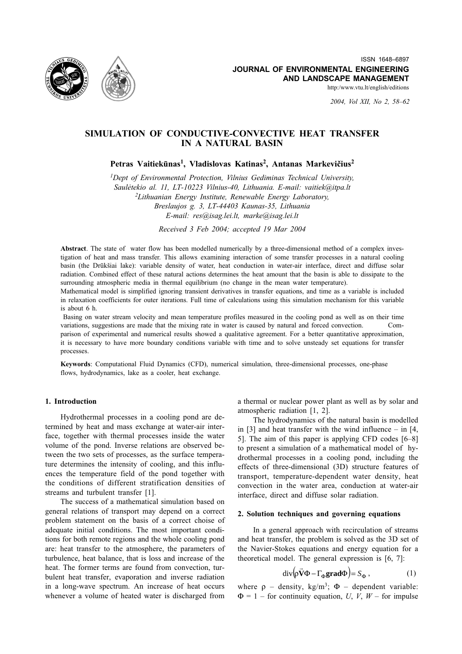

2004, Vol XII, No 2, 58-62

# SIMULATION OF CONDUCTIVE-CONVECTIVE HEAT TRANSFER **IN A NATURAL BASIN**

Petras Vaitiekūnas<sup>1</sup>, Vladislovas Katinas<sup>2</sup>, Antanas Markevičius<sup>2</sup>

<sup>1</sup>Dept of Environmental Protection, Vilnius Gediminas Technical University, Saulėtekio al. 11, LT-10223 Vilnius-40, Lithuania. E-mail: vaitiek@itpa.lt <sup>2</sup>Lithuanian Energy Institute, Renewable Energy Laboratory, Breslaujos g. 3, LT-44403 Kaunas-35, Lithuania E-mail: res@isag.lei.lt, marke@isag.lei.lt

Received 3 Feb 2004; accepted 19 Mar 2004

Abstract. The state of water flow has been modelled numerically by a three-dimensional method of a complex investigation of heat and mass transfer. This allows examining interaction of some transfer processes in a natural cooling basin (the Drūkšiai lake): variable density of water, heat conduction in water-air interface, direct and diffuse solar radiation. Combined effect of these natural actions determines the heat amount that the basin is able to dissipate to the surrounding atmospheric media in thermal equilibrium (no change in the mean water temperature).

Mathematical model is simplified ignoring transient derivatives in transfer equations, and time as a variable is included in relaxation coefficients for outer iterations. Full time of calculations using this simulation mechanism for this variable is about 6 h.

Basing on water stream velocity and mean temperature profiles measured in the cooling pond as well as on their time variations, suggestions are made that the mixing rate in water is caused by natural and forced convection. parison of experimental and numerical results showed a qualitative agreement. For a better quantitative approximation, it is necessary to have more boundary conditions variable with time and to solve unsteady set equations for transfer processes.

Keywords: Computational Fluid Dynamics (CFD), numerical simulation, three-dimensional processes, one-phase flows, hydrodynamics, lake as a cooler, heat exchange.

# 1. Introduction

Hydrothermal processes in a cooling pond are determined by heat and mass exchange at water-air interface, together with thermal processes inside the water volume of the pond. Inverse relations are observed between the two sets of processes, as the surface temperature determines the intensity of cooling, and this influences the temperature field of the pond together with the conditions of different stratification densities of streams and turbulent transfer [1].

The success of a mathematical simulation based on general relations of transport may depend on a correct problem statement on the basis of a correct choise of adequate initial conditions. The most important conditions for both remote regions and the whole cooling pond are: heat transfer to the atmosphere, the parameters of turbulence, heat balance, that is loss and increase of the heat. The former terms are found from convection, turbulent heat transfer, evaporation and inverse radiation in a long-wave spectrum. An increase of heat occurs whenever a volume of heated water is discharged from

a thermal or nuclear power plant as well as by solar and atmospheric radiation [1, 2].

The hydrodynamics of the natural basin is modelled in [3] and heat transfer with the wind influence  $-$  in [4, 5]. The aim of this paper is applying CFD codes  $[6-8]$ to present a simulation of a mathematical model of hydrothermal processes in a cooling pond, including the effects of three-dimensional (3D) structure features of transport, temperature-dependent water density, heat convection in the water area, conduction at water-air interface, direct and diffuse solar radiation.

# 2. Solution techniques and governing equations

In a general approach with recirculation of streams and heat transfer, the problem is solved as the 3D set of the Navier-Stokes equations and energy equation for a theoretical model. The general expression is  $[6, 7]$ :

$$
\operatorname{div}(\rho \tilde{\mathbf{V}} \Phi - \Gamma_{\mathbf{\Phi}} \mathbf{grad} \Phi) = S_{\mathbf{\Phi}}, \tag{1}
$$

where  $\rho$  – density, kg/m<sup>3</sup>;  $\Phi$  – dependent variable:  $\Phi = 1$  – for continuity equation, *U*, *V*, *W* – for impulse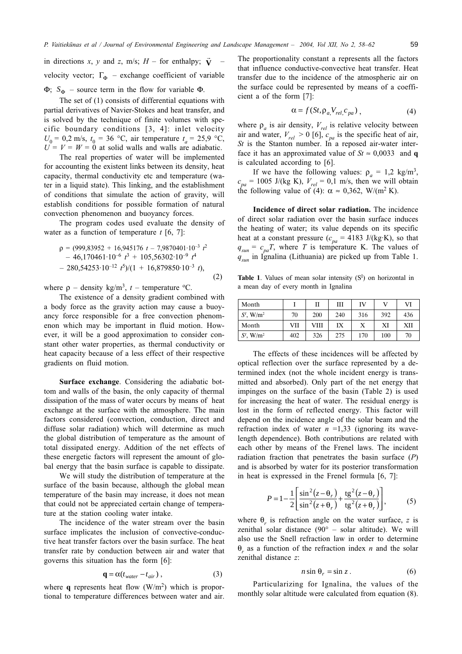in directions x, y and z, m/s;  $H$  – for enthalpy;  $\vec{v}$ velocity vector;  $\Gamma_{\Phi}$  – exchange coefficient of variable  $\Phi$ ;  $S_{\Phi}$  – source term in the flow for variable  $\Phi$ .

The set of (1) consists of differential equations with partial derivatives of Navier-Stokes and heat transfer, and is solved by the technique of finite volumes with specific boundary conditions [3, 4]: inlet velocity  $U_0 = 0.2$  m/s,  $t_0 = 36$  °C, air temperature  $t_a = 25.9$  °C,  $U = V = W = 0$  at solid walls and walls are adiabatic.

The real properties of water will be implemented for accounting the existent links between its density, heat capacity, thermal conductivity etc and temperature (water in a liquid state). This linking, and the establishment of conditions that simulate the action of gravity, will establish conditions for possible formation of natural convection phenomenon and buoyancy forces.

The program codes used evaluate the density of water as a function of temperature  $t$  [6, 7]:

$$
\rho = (999,83952 + 16,945176 \ t - 7,9870401 \cdot 10^{-3} \ t^2 - 46,170461 \cdot 10^{-6} \ t^3 + 105,56302 \cdot 10^{-9} \ t^4 - 280,54253 \cdot 10^{-12} \ t^5)/(1 + 16,879850 \cdot 10^{-3} \ t),
$$
\n(2)

where  $\rho$  – density kg/m<sup>3</sup>, t – temperature °C.

The existence of a density gradient combined with a body force as the gravity action may cause a buoyancy force responsible for a free convection phenomenon which may be important in fluid motion. However, it will be a good approximation to consider constant other water properties, as thermal conductivity or heat capacity because of a less effect of their respective gradients on fluid motion.

Surface exchange. Considering the adiabatic bottom and walls of the basin, the only capacity of thermal dissipation of the mass of water occurs by means of heat exchange at the surface with the atmosphere. The main factors considered (convection, conduction, direct and diffuse solar radiation) which will determine as much the global distribution of temperature as the amount of total dissipated energy. Addition of the net effects of these energetic factors will represent the amount of global energy that the basin surface is capable to dissipate.

We will study the distribution of temperature at the surface of the basin because, although the global mean temperature of the basin may increase, it does not mean that could not be appreciated certain change of temperature at the station cooling water intake.

The incidence of the water stream over the basin surface implicates the inclusion of convective-conductive heat transfer factors over the basin surface. The heat transfer rate by conduction between air and water that governs this situation has the form [6]:

$$
\mathbf{q} = \alpha (t_{water} - t_{air}), \qquad (3)
$$

where q represents heat flow  $(W/m<sup>2</sup>)$  which is proportional to temperature differences between water and air.

The proportionality constant a represents all the factors that influence conductive-convective heat transfer. Heat transfer due to the incidence of the atmospheric air on the surface could be represented by means of a coefficient a of the form [7]:

$$
\alpha = f(St, \rho_a, V_{rel}, c_{pa}), \qquad (4)
$$

where  $\rho_a$  is air density,  $V_{rel}$  is relative velocity between<br>air and water,  $V_{rel} > 0$  [6],  $c_{pa}$  is the specific heat of air,  $St$  is the Stanton number. In a reposed air-water interface it has an approximated value of  $St \approx 0.0033$  and q is calculated according to [6].

If we have the following values:  $\rho_a = 1.2 \text{ kg/m}^3$ ,  $c_{pa}$  = 1005 J/(kg K),  $V_{rel}$  = 0,1 m/s, then we will obtain the following value of (4):  $\alpha \approx 0.362$ , W/(m<sup>2</sup> K).

Incidence of direct solar radiation. The incidence of direct solar radiation over the basin surface induces the heating of water; its value depends on its specific heat at a constant pressure ( $c_{pa}$  = 4183 J/(kg·K), so that  $q_{sun} = c_{pa}T$ , where T is temperature K. The values of  $q_{\text{sum}}$  in Ignalina (Lithuania) are picked up from Table 1.

**Table 1.** Values of mean solar intensity  $(S<sup>I</sup>)$  on horizontal in a mean day of every month in Ignalina

| Month                   |     |      | Ш   | IV  |     | VI         |
|-------------------------|-----|------|-----|-----|-----|------------|
| $SI$ , W/m <sup>2</sup> | 70  | 200  | 240 | 316 | 392 | 436        |
| Month                   | VII | VIII | IX  |     | XI  | <b>XII</b> |
| $SI$ , W/m <sup>2</sup> | 402 | 326  | 275 | 170 | 100 | 70         |

The effects of these incidences will be affected by optical reflection over the surface represented by a determined index (not the whole incident energy is transmitted and absorbed). Only part of the net energy that impinges on the surface of the basin (Table 2) is used for increasing the heat of water. The residual energy is lost in the form of reflected energy. This factor will depend on the incidence angle of the solar beam and the refraction index of water  $n = 1,33$  (ignoring its wavelength dependence). Both contributions are related with each other by means of the Frenel laws. The incident radiation fraction that penetrates the basin surface  $(P)$ and is absorbed by water for its posterior transformation in heat is expressed in the Frenel formula  $[6, 7]$ :

$$
P = 1 - \frac{1}{2} \left[ \frac{\sin^2(z - \theta_r)}{\sin^2(z + \theta_r)} + \frac{\text{tg}^2(z - \theta_r)}{\text{tg}^2(z + \theta_r)} \right],\tag{5}
$$

where  $\theta$ , is refraction angle on the water surface, z is zenithal solar distance ( $90^\circ$  – solar altitude). We will also use the Snell refraction law in order to determine  $\theta$  as a function of the refraction index *n* and the solar zenithal distance z:

$$
n\sin\theta_r = \sin z. \tag{6}
$$

Particularizing for Ignalina, the values of the monthly solar altitude were calculated from equation (8).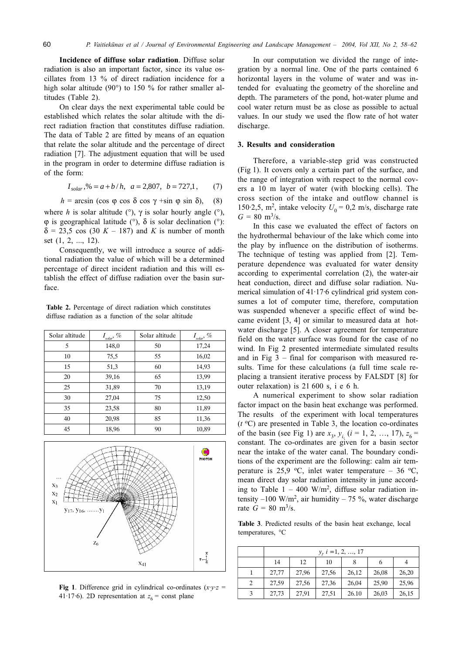Incidence of diffuse solar radiation. Diffuse solar radiation is also an important factor, since its value oscillates from 13 % of direct radiation incidence for a high solar altitude (90 $^{\circ}$ ) to 150 % for rather smaller altitudes (Table 2).

On clear days the next experimental table could be established which relates the solar altitude with the direct radiation fraction that constitutes diffuse radiation. The data of Table 2 are fitted by means of an equation that relate the solar altitude and the percentage of direct radiation [7]. The adjustment equation that will be used in the program in order to determine diffuse radiation is of the form:

$$
I_{solar}
$$
, % =  $a + b/h$ ,  $a = 2,807$ ,  $b = 727.1$ , (7)

 $h = \arcsin (\cos \varphi \cos \delta \cos \gamma + \sin \varphi \sin \delta),$  $(8)$ where h is solar altitude ( $\degree$ ),  $\gamma$  is solar hourly angle ( $\degree$ ),  $\varphi$  is geographical latitude (°),  $\delta$  is solar declination (°):  $\delta$  = 23,5 cos (30 K – 187) and K is number of month set (1, 2, ..., 12).

Consequently, we will introduce a source of additional radiation the value of which will be a determined percentage of direct incident radiation and this will establish the effect of diffuse radiation over the basin surface

Table 2. Percentage of direct radiation which constitutes diffuse radiation as a function of the solar altitude

| Solar altitude | $I_{solar}$ , $\%$ | Solar altitude | $I_{\textit{solar}}, \, \%$ |
|----------------|--------------------|----------------|-----------------------------|
| 5              | 148,0              | 50             | 17,24                       |
| 10             | 75,5               | 55             | 16,02                       |
| 15             | 51,3               | 60             | 14,93                       |
| 20             | 39,16              | 65             | 13,99                       |
| 25             | 31,89              | 70             | 13,19                       |
| 30             | 27,04              | 75             | 12,50                       |
| 35             | 23,58              | 80             | 11,89                       |
| 40             | 20,98              | 85             | 11,36                       |
| 45             | 18,96              | 90             | 10,89                       |



Fig 1. Difference grid in cylindrical co-ordinates  $(x \cdot y \cdot z)$ 41.17.6). 2D representation at  $z_6$  = const plane

In our computation we divided the range of integration by a normal line. One of the parts contained 6 horizontal layers in the volume of water and was intended for evaluating the geometry of the shoreline and depth. The parameters of the pond, hot-water plume and cool water return must be as close as possible to actual values. In our study we used the flow rate of hot water discharge.

#### 3. Results and consideration

Therefore, a variable-step grid was constructed (Fig 1). It covers only a certain part of the surface, and the range of integration with respect to the normal covers a 10 m layer of water (with blocking cells). The cross section of the intake and outflow channel is 150.2,5, m<sup>2</sup>, intake velocity  $U_0 = 0.2$  m/s, discharge rate  $G = 80$  m<sup>3</sup>/s.

In this case we evaluated the effect of factors on the hydrothermal behaviour of the lake which come into the play by influence on the distribution of isotherms. The technique of testing was applied from [2]. Temperature dependence was evaluated for water density according to experimental correlation (2), the water-air heat conduction, direct and diffuse solar radiation. Numerical simulation of 41.17.6 cylindrical grid system consumes a lot of computer time, therefore, computation was suspended whenever a specific effect of wind became evident [3, 4] or similar to measured data at hotwater discharge [5]. A closer agreement for temperature field on the water surface was found for the case of no wind. In Fig 2 presented intermediate simulated results and in Fig  $3$  – final for comparison with measured results. Time for these calculations (a full time scale replacing a transient iterative process by FALSDT [8] for outer relaxation) is 21 600 s, i e 6 h.

A numerical experiment to show solar radiation factor impact on the basin heat exchange was performed. The results of the experiment with local temperatures  $(t<sup>o</sup>C)$  are presented in Table 3, the location co-ordinates of the basin (see Fig 1) are  $x_3$ ,  $y_i$  (i = 1, 2, ..., 17),  $z_6$  = constant. The co-ordinates are given for a basin sector near the intake of the water canal. The boundary conditions of the experiment are the following: calm air temperature is 25,9 °C, inlet water temperature – 36 °C, mean direct day solar radiation intensity in june according to Table  $1 - 400$  W/m<sup>2</sup>, diffuse solar radiation intensity  $-100 \text{ W/m}^2$ , air humidity  $-75$  %, water discharge rate  $G = 80 \text{ m}^3\text{/s.}$ 

Table 3. Predicted results of the basin heat exchange, local temperatures, °C

|   | $y, i = 1, 2, , 17$ |       |       |       |       |       |  |
|---|---------------------|-------|-------|-------|-------|-------|--|
|   | 14                  | 12    | 10    | 8     | 6     | 4     |  |
|   | 27,77               | 27,96 | 27,56 | 26,12 | 26,08 | 26,20 |  |
| 2 | 27,59               | 27,56 | 27,36 | 26,04 | 25,90 | 25,96 |  |
| 3 | 27,73               | 27,91 | 27,51 | 26.10 | 26,03 | 26,15 |  |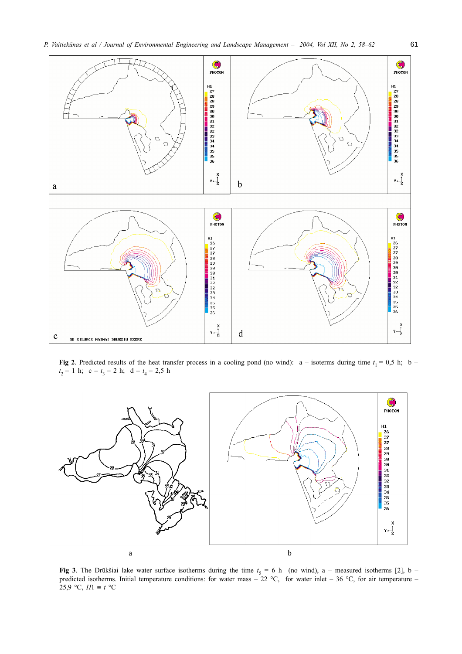

Fig 2. Predicted results of the heat transfer process in a cooling pond (no wind):  $a -$  isoterms during time  $t_1 = 0.5$  h;  $b$  $t_2 = 1$  h; c -  $t_3 = 2$  h; d -  $t_4 = 2.5$  h



Fig 3. The Drūkšiai lake water surface isotherms during the time  $t_5 = 6$  h (no wind), a – measured isotherms [2], b – predicted isotherms. Initial temperature conditions: for water mass – 22 °C, for water inlet – 36 °C, 25,9 °C,  $H1 \equiv t$  °C